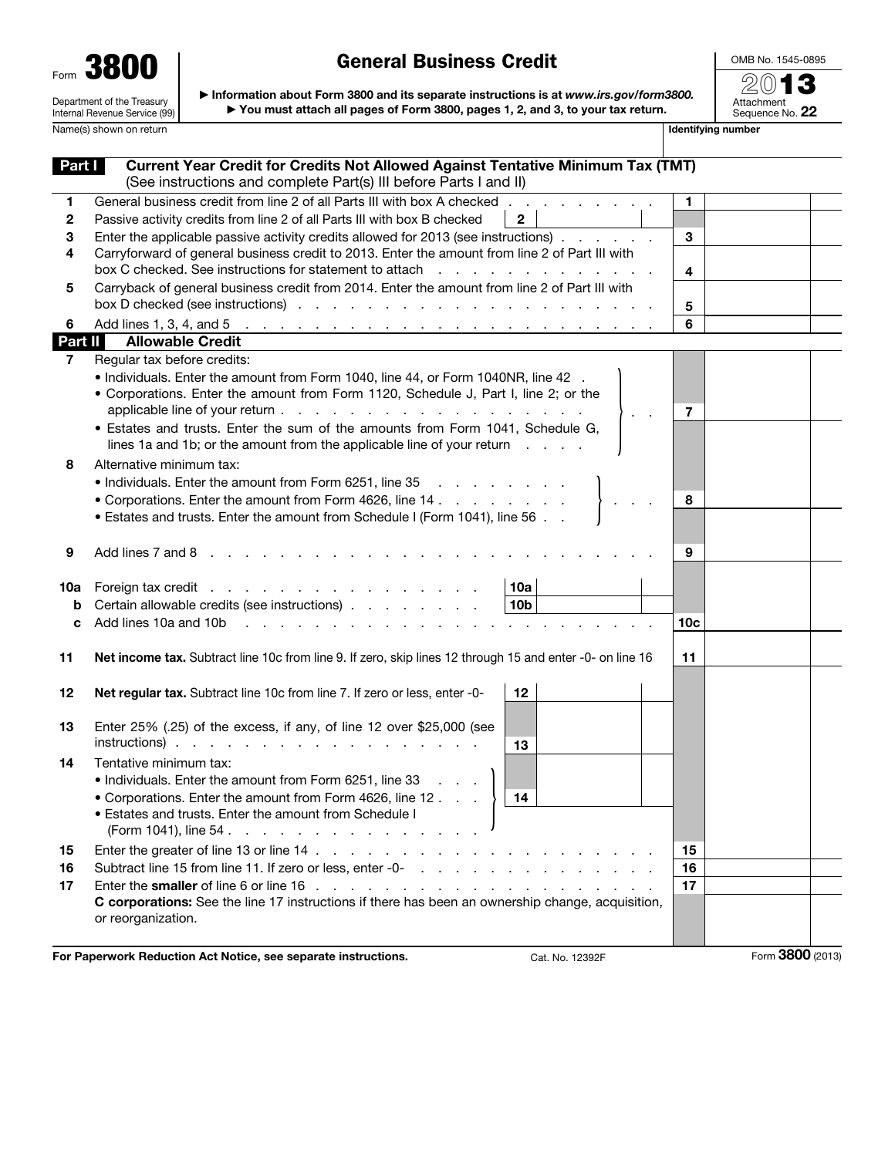| Form | 800                                                         |
|------|-------------------------------------------------------------|
|      | Department of the Treasury<br>Internal Revenue Service (99) |

OMB No. 1545-0895 2013

Attachment<br>Sequence No. **22** 

▶ Information about Form 3800 and its separate instructions is at *www.irs.gov/form3800.* ▶ You must attach all pages of Form 3800, pages 1, 2, and 3, to your tax return.

Name(s) shown on return **IDENTIFYING** Name(s) shown on return **IDENTIFYING** Name(s) shown on return

| Part I  | <b>Current Year Credit for Credits Not Allowed Against Tentative Minimum Tax (TMT)</b>                                                                                                                                         |                |                  |  |
|---------|--------------------------------------------------------------------------------------------------------------------------------------------------------------------------------------------------------------------------------|----------------|------------------|--|
|         | (See instructions and complete Part(s) III before Parts I and II)                                                                                                                                                              |                |                  |  |
| 1       | General business credit from line 2 of all Parts III with box A checked                                                                                                                                                        | 1              |                  |  |
| 2       | $\overline{2}$<br>Passive activity credits from line 2 of all Parts III with box B checked                                                                                                                                     |                |                  |  |
| 3       | Enter the applicable passive activity credits allowed for 2013 (see instructions).                                                                                                                                             | 3              |                  |  |
| 4       | Carryforward of general business credit to 2013. Enter the amount from line 2 of Part III with                                                                                                                                 |                |                  |  |
|         | box C checked. See instructions for statement to attach<br>.                                                                                                                                                                   | $\overline{4}$ |                  |  |
| 5       | Carryback of general business credit from 2014. Enter the amount from line 2 of Part III with                                                                                                                                  |                |                  |  |
|         |                                                                                                                                                                                                                                | 5              |                  |  |
| 6       |                                                                                                                                                                                                                                | 6              |                  |  |
| Part II | <b>Allowable Credit</b>                                                                                                                                                                                                        |                |                  |  |
| 7       | Regular tax before credits:                                                                                                                                                                                                    |                |                  |  |
|         | . Individuals. Enter the amount from Form 1040, line 44, or Form 1040NR, line 42.                                                                                                                                              |                |                  |  |
|         | • Corporations. Enter the amount from Form 1120, Schedule J, Part I, line 2; or the                                                                                                                                            |                |                  |  |
|         | $\mathcal{L}=\mathcal{L}$                                                                                                                                                                                                      | $\overline{7}$ |                  |  |
|         | • Estates and trusts. Enter the sum of the amounts from Form 1041, Schedule G,                                                                                                                                                 |                |                  |  |
|         | lines 1a and 1b; or the amount from the applicable line of your return                                                                                                                                                         |                |                  |  |
| 8       | Alternative minimum tax:                                                                                                                                                                                                       |                |                  |  |
|         | • Individuals. Enter the amount from Form 6251, line 35                                                                                                                                                                        |                |                  |  |
|         | • Corporations. Enter the amount from Form 4626, line 14                                                                                                                                                                       | 8              |                  |  |
|         | • Estates and trusts. Enter the amount from Schedule I (Form 1041), line 56                                                                                                                                                    |                |                  |  |
|         |                                                                                                                                                                                                                                |                |                  |  |
| 9       | Add lines 7 and 8                                                                                                                                                                                                              | 9              |                  |  |
|         |                                                                                                                                                                                                                                |                |                  |  |
| 10a     | 10a<br>Foreign tax credit                                                                                                                                                                                                      |                |                  |  |
| b       | Certain allowable credits (see instructions)<br>10 <sub>b</sub>                                                                                                                                                                |                |                  |  |
| c       | Add lines 10a and 10b resources and the contract of the contract of the contract of the contract of the contract of the contract of the contract of the contract of the contract of the contract of the contract of the contra | 10c            |                  |  |
|         |                                                                                                                                                                                                                                |                |                  |  |
| 11      | Net income tax. Subtract line 10c from line 9. If zero, skip lines 12 through 15 and enter -0- on line 16                                                                                                                      | 11             |                  |  |
|         |                                                                                                                                                                                                                                |                |                  |  |
| 12      | 12<br>Net regular tax. Subtract line 10c from line 7. If zero or less, enter -0-                                                                                                                                               |                |                  |  |
|         |                                                                                                                                                                                                                                |                |                  |  |
| 13      | Enter 25% (.25) of the excess, if any, of line 12 over \$25,000 (see                                                                                                                                                           |                |                  |  |
|         | $instructions)$ .<br>13                                                                                                                                                                                                        |                |                  |  |
| 14      | Tentative minimum tax:                                                                                                                                                                                                         |                |                  |  |
|         | • Individuals. Enter the amount from Form 6251, line 33                                                                                                                                                                        |                |                  |  |
|         | • Corporations. Enter the amount from Form 4626, line 12<br>14                                                                                                                                                                 |                |                  |  |
|         | • Estates and trusts. Enter the amount from Schedule I                                                                                                                                                                         |                |                  |  |
|         | (Form 1041), line 54.                                                                                                                                                                                                          |                |                  |  |
| 15      |                                                                                                                                                                                                                                | 15             |                  |  |
| 16      |                                                                                                                                                                                                                                | 16             |                  |  |
| 17      |                                                                                                                                                                                                                                | 17             |                  |  |
|         | C corporations: See the line 17 instructions if there has been an ownership change, acquisition,                                                                                                                               |                |                  |  |
|         | or reorganization.                                                                                                                                                                                                             |                |                  |  |
|         |                                                                                                                                                                                                                                |                |                  |  |
|         | For Paperwork Reduction Act Notice, see separate instructions.<br>Cat. No. 12392F                                                                                                                                              |                | Form 3800 (2013) |  |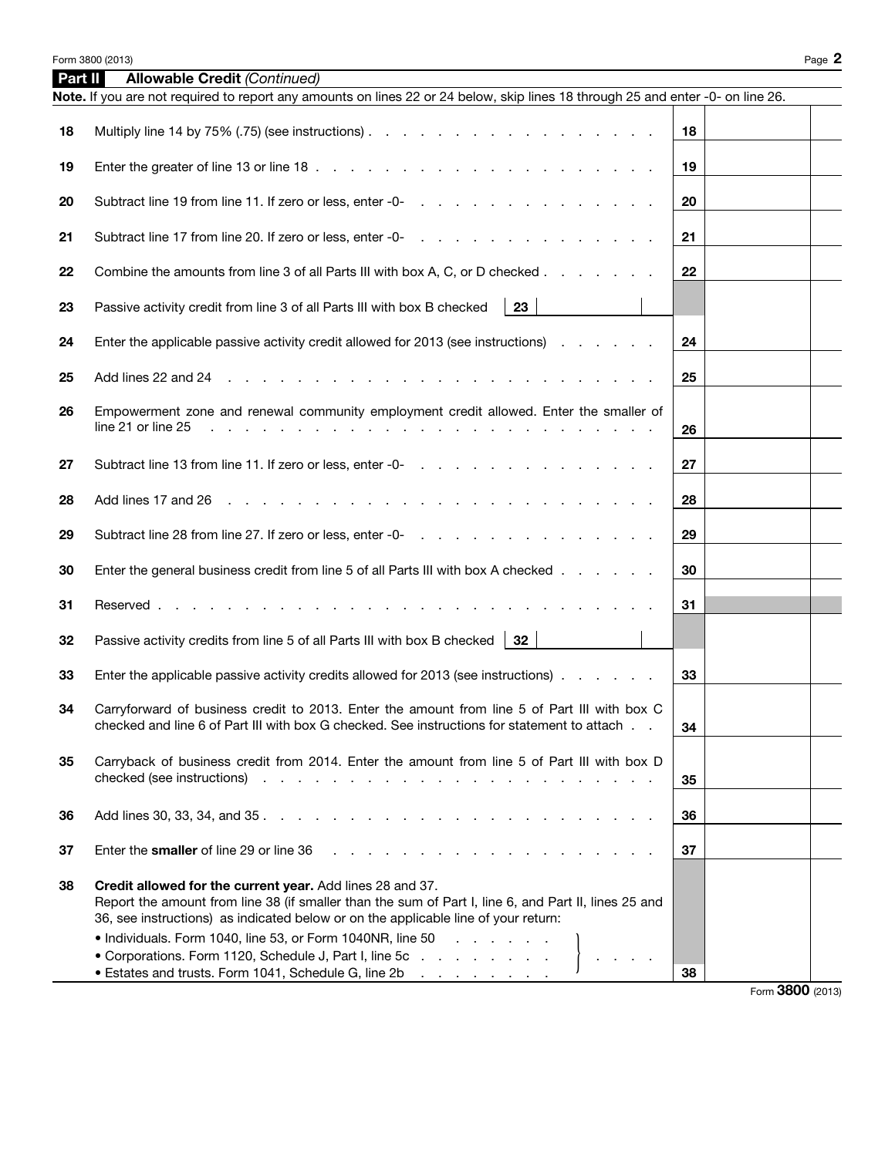| Part II | <b>Allowable Credit (Continued)</b>                                                                                                                                                                                                                     |    |  |
|---------|---------------------------------------------------------------------------------------------------------------------------------------------------------------------------------------------------------------------------------------------------------|----|--|
|         | Note. If you are not required to report any amounts on lines 22 or 24 below, skip lines 18 through 25 and enter -0- on line 26.                                                                                                                         |    |  |
| 18      |                                                                                                                                                                                                                                                         | 18 |  |
| 19      |                                                                                                                                                                                                                                                         | 19 |  |
| 20      |                                                                                                                                                                                                                                                         | 20 |  |
| 21      |                                                                                                                                                                                                                                                         | 21 |  |
| 22      | Combine the amounts from line 3 of all Parts III with box A, C, or D checked                                                                                                                                                                            | 22 |  |
| 23      | 23<br>Passive activity credit from line 3 of all Parts III with box B checked                                                                                                                                                                           |    |  |
| 24      | Enter the applicable passive activity credit allowed for 2013 (see instructions)                                                                                                                                                                        | 24 |  |
| 25      |                                                                                                                                                                                                                                                         | 25 |  |
| 26      | Empowerment zone and renewal community employment credit allowed. Enter the smaller of<br>line 21 or line 25<br>the contract of the contract of the contract of the contract of                                                                         | 26 |  |
| 27      |                                                                                                                                                                                                                                                         | 27 |  |
| 28      | والمتعاون والمتعاون والمتعاون والمتعاون والمتعاون والمتعاون والمتعاون والمتعاون والمتعاون<br>Add lines 17 and 26                                                                                                                                        | 28 |  |
| 29      |                                                                                                                                                                                                                                                         | 29 |  |
| 30      | Enter the general business credit from line 5 of all Parts III with box A checked                                                                                                                                                                       | 30 |  |
| 31      | Reserved<br>the contract of the contract of the contract of the contract of the contract of the contract of the contract of                                                                                                                             | 31 |  |
| 32      | Passive activity credits from line 5 of all Parts III with box B checked $\parallel$ 32                                                                                                                                                                 |    |  |
| 33      | Enter the applicable passive activity credits allowed for 2013 (see instructions)                                                                                                                                                                       | 33 |  |
| 34      | Carryforward of business credit to 2013. Enter the amount from line 5 of Part III with box C<br>checked and line 6 of Part III with box G checked. See instructions for statement to attach                                                             | 34 |  |
| 35      | Carryback of business credit from 2014. Enter the amount from line 5 of Part III with box D<br>checked (see instructions).<br>the contract of the contract of the contract of the contract of the contract of the contract of the contract of           | 35 |  |
| 36      |                                                                                                                                                                                                                                                         | 36 |  |
| 37      | Enter the smaller of line 29 or line 36                                                                                                                                                                                                                 | 37 |  |
| 38      | Credit allowed for the current year. Add lines 28 and 37.<br>Report the amount from line 38 (if smaller than the sum of Part I, line 6, and Part II, lines 25 and<br>36, see instructions) as indicated below or on the applicable line of your return: |    |  |
|         | • Individuals. Form 1040, line 53, or Form 1040NR, line 50<br>• Corporations. Form 1120, Schedule J, Part I, line 5c $\ldots$ $\ldots$ $\ldots$ $\ldots$ $\}$ $\ldots$ .<br>• Estates and trusts. Form 1041, Schedule G, line 2b                        | 38 |  |

Form 3800 (2013)